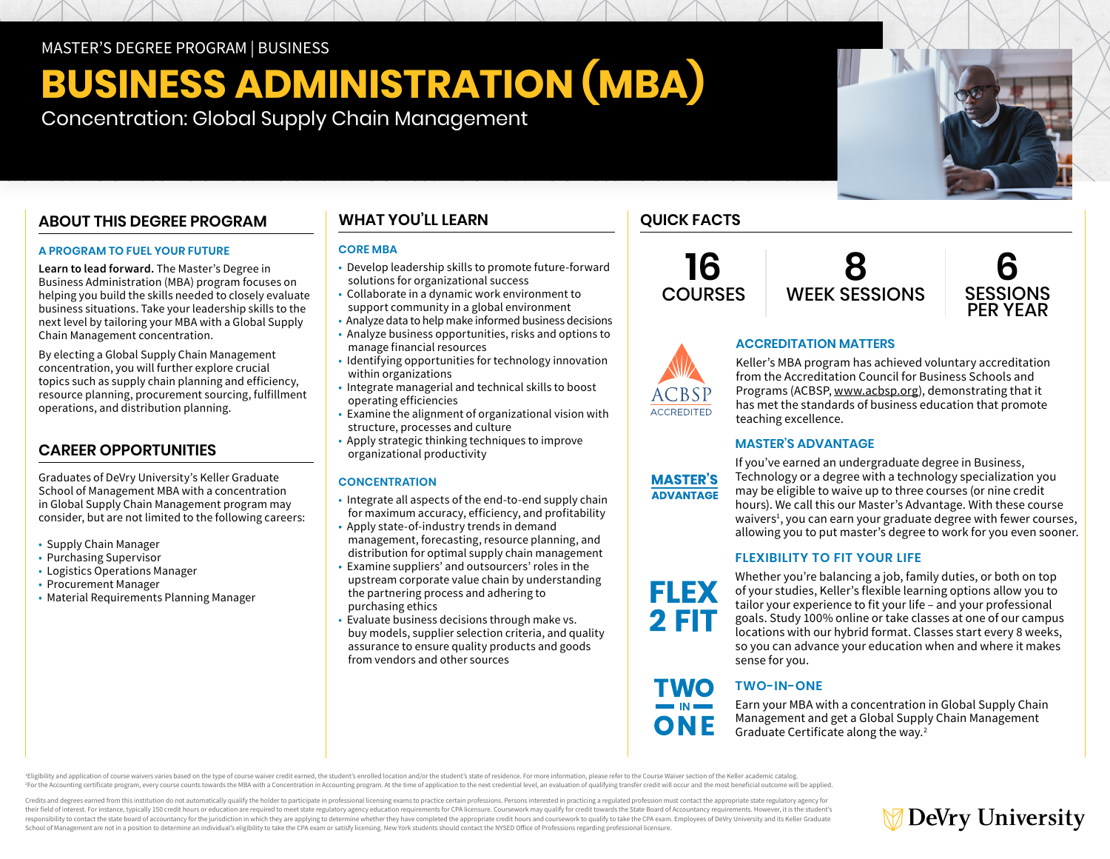## MASTER'S DEGREE PROGRAM | BUSINESS

# **BUSINESS ADMINISTRATION (MBA)**

Concentration: Global Supply Chain Management

# **ABOUT THIS DEGREE PROGRAM**

## **A PROGRAM TO FUEL YOUR FUTURE**

**Learn to lead forward.** The Master's Degree in Business Administration (MBA) program focuses on helping you build the skills needed to closely evaluate business situations. Take your leadership skills to the next level by tailoring your MBA with a Global Supply Chain Management concentration.

By electing a Global Supply Chain Management concentration, you will further explore crucial topics such as supply chain planning and efficiency, resource planning, procurement sourcing, fulfillment operations, and distribution planning.

# **CAREER OPPORTUNITIES**

Graduates of DeVry University's Keller Graduate School of Management MBA with a concentration in Global Supply Chain Management program may consider, but are not limited to the following careers:

- Supply Chain Manager
- Purchasing Supervisor
- Logistics Operations Manager
- Procurement Manager
- Material Requirements Planning Manager

# **WHAT YOU'LL LEARN**

#### **CORE MBA**

- Develop leadership skills to promote future-forward solutions for organizational success
- Collaborate in a dynamic work environment to support community in a global environment
- Analyze data to help make informed business decisions
- Analyze business opportunities, risks and options to manage financial resources
- Identifying opportunities for technology innovation within organizations
- Integrate managerial and technical skills to boost operating efficiencies
- Examine the alignment of organizational vision with structure, processes and culture
- Apply strategic thinking techniques to improve organizational productivity

### **CONCENTRATION**

- Integrate all aspects of the end-to-end supply chain for maximum accuracy, efficiency, and profitability
- Apply state-of-industry trends in demand management, forecasting, resource planning, and distribution for optimal supply chain management
- Examine suppliers' and outsourcers' roles in the upstream corporate value chain by understanding the partnering process and adhering to purchasing ethics
- Evaluate business decisions through make vs. buy models, supplier selection criteria, and quality assurance to ensure quality products and goods from vendors and other sources

# **QUICK FACTS**

**16 COURSES** 





# **ACCREDITATION MATTERS**

Keller's MBA program has achieved voluntary accreditation from the Accreditation Council for Business Schools and Programs (ACBSP, [www.acbsp.org](https://www.acbsp.org)), demonstrating that it has met the standards of business education that promote teaching excellence.

### **MASTER'S ADVANTAGE**



**FLEX 2 FIT** 

**TWO** 

ONE

**ACCREDITED** 

If you've earned an undergraduate degree in Business, Technology or a degree with a technology specialization you may be eligible to waive up to three courses (or nine credit hours). We call this our Master's Advantage. With these course waivers<sup>1</sup>, you can earn your graduate degree with fewer courses, allowing you to put master's degree to work for you even sooner.

### **FLEXIBILITY TO FIT YOUR LIFE**

Whether you're balancing a job, family duties, or both on top of your studies, Keller's flexible learning options allow you to tailor your experience to fit your life – and your professional goals. Study 100% online or take classes at one of our campus locations with our hybrid format. Classes start every 8 weeks, so you can advance your education when and where it makes sense for you.

# **TWO-IN-ONE**

Earn your MBA with a concentration in Global Supply Chain Management and get a Global Supply Chain Management Graduate Certificate along the way.2

Eligibility and application of course waivers varies based on the type of course waiver credit earned, the student's enrolled location and/or the student's state of residence. For more information, please refer to the Cour For the Accounting certificate program, every course counts towards the MBA with a Concentration in Accounting program. At the time of application to the next credential level, an evaluation of qualifying transfer credit w

Credits and degrees earned from this institution do not automatically qualify the holder to participate in professional licensing exams to practice certain professions. Persons interested in practicing a regulated professi their field of interest. For instance, typically 150 credit hours or education are required to meet state regulatory agency education requirements for CPA licensure. Coursework may qualify for credit towards the State Boar responsibility to contact the state board of accountancy for the jurisdiction in which they are applying to determine whether they have completed the appropriate credit hours and coursework to qualify to take the CPA exam. School of Management are not in a position to determine an individual's eligibility to take the CPA exam or satisfy licensing. New York students should contact the NYSED Office of Professions regarding professional licensu